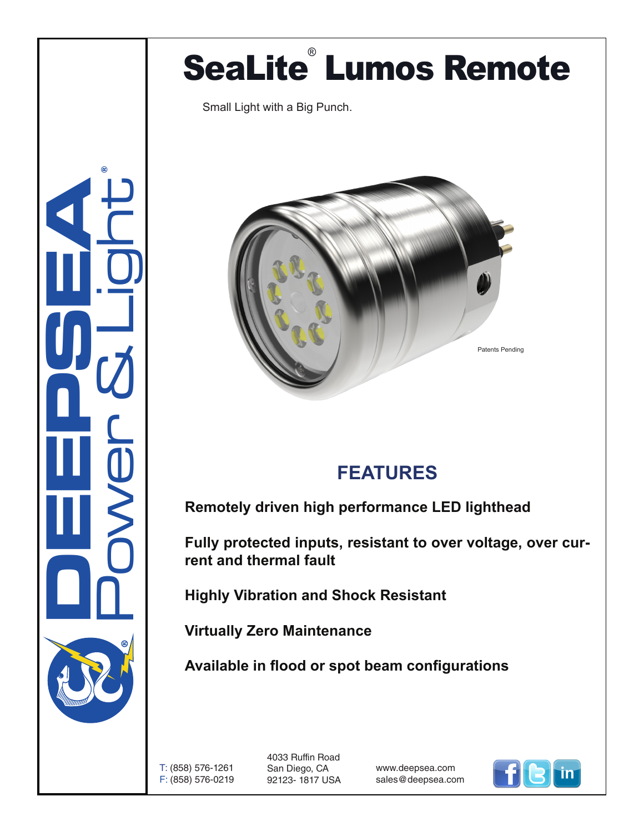## SeaLite<sup>®</sup> Lumos Remote

Small Light with a Big Punch.





## **FEATURES**

**Remotely driven high performance LED lighthead**

**Fully protected inputs, resistant to over voltage, over current and thermal fault**

**Highly Vibration and Shock Resistant**

**Virtually Zero Maintenance** 

**Available in flood or spot beam configurations**

T: (858) 576-1261 F: (858) 576-0219 4033 Ruffin Road San Diego, CA 92123- 1817 USA

www.deepsea.com sales@deepsea.com